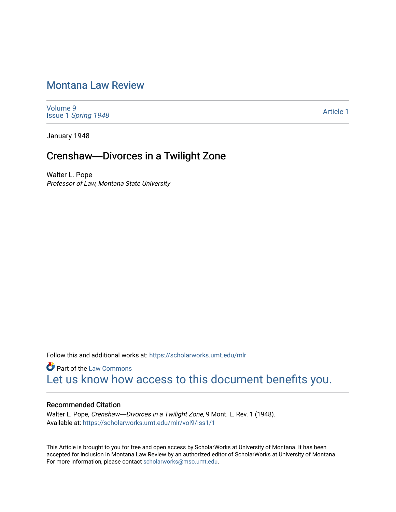# [Montana Law Review](https://scholarworks.umt.edu/mlr)

[Volume 9](https://scholarworks.umt.edu/mlr/vol9) Issue 1 [Spring 1948](https://scholarworks.umt.edu/mlr/vol9/iss1) 

[Article 1](https://scholarworks.umt.edu/mlr/vol9/iss1/1) 

January 1948

# Crenshaw-Divorces in a Twilight Zone

Walter L. Pope Professor of Law, Montana State University

Follow this and additional works at: [https://scholarworks.umt.edu/mlr](https://scholarworks.umt.edu/mlr?utm_source=scholarworks.umt.edu%2Fmlr%2Fvol9%2Fiss1%2F1&utm_medium=PDF&utm_campaign=PDFCoverPages) 

**Part of the [Law Commons](http://network.bepress.com/hgg/discipline/578?utm_source=scholarworks.umt.edu%2Fmlr%2Fvol9%2Fiss1%2F1&utm_medium=PDF&utm_campaign=PDFCoverPages)** [Let us know how access to this document benefits you.](https://goo.gl/forms/s2rGfXOLzz71qgsB2) 

## Recommended Citation

Walter L. Pope, Crenshaw-Divorces in a Twilight Zone, 9 Mont. L. Rev. 1 (1948). Available at: [https://scholarworks.umt.edu/mlr/vol9/iss1/1](https://scholarworks.umt.edu/mlr/vol9/iss1/1?utm_source=scholarworks.umt.edu%2Fmlr%2Fvol9%2Fiss1%2F1&utm_medium=PDF&utm_campaign=PDFCoverPages)

This Article is brought to you for free and open access by ScholarWorks at University of Montana. It has been accepted for inclusion in Montana Law Review by an authorized editor of ScholarWorks at University of Montana. For more information, please contact [scholarworks@mso.umt.edu.](mailto:scholarworks@mso.umt.edu)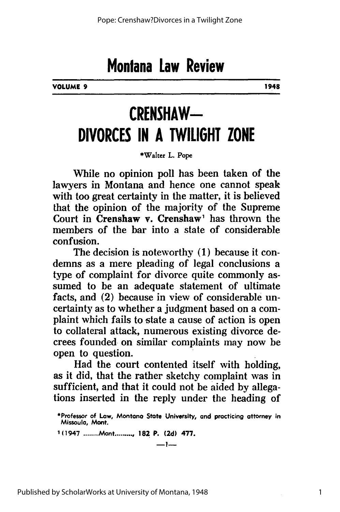**VOLUME 9 1948**

# **CRENSHAW-DIVORCES IN A TWILIGHT ZONE**

\*Walter L. Pope

While no opinion poll has been taken of the lawyers in Montana and hence one cannot speak with too great certainty in the matter, it is believed that the opinion of the majority of the Supreme Court in Crenshaw v. Crenshaw' has thrown the members of the bar into a state of considerable confusion.

The decision is noteworthy (1) because it condemns as a mere pleading of legal conclusions a type of complaint for divorce quite commonly assumed to be an adequate statement of ultimate facts, and (2) because in view of considerable uncertainty as to whether a judgment based on a complaint which fails to state a cause of action is open to collateral attack, numerous existing divorce decrees founded on similar complaints may now be open to question.

Had the court contented itself with holding, as it did, that the rather sketchy complaint was in sufficient, and that it could not be aided by allegations inserted in the reply under the heading of

**1(1947 ........** Mont......, 182 P. **(2d) 477.**

**-1-**

1

<sup>\*</sup>Professor of Low, Montana State University, and practicing attorney in Missoula, Mont.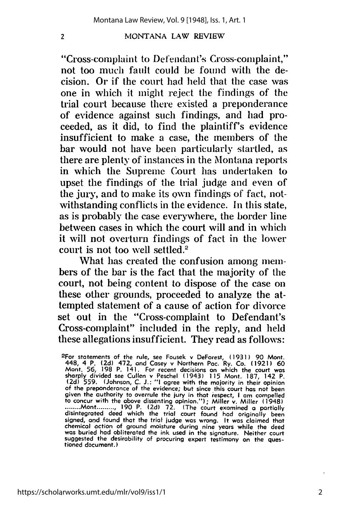"Cross-complaint to De **fendant's** Cross-complaint," not too much fault could be found with the decision. Or if the court had held that the case **was** one in which it might reject the findings of the trial court because there existed a preponderance of evidence against such findings, and had proceeded, as it did, to find the plaintiff's evidence insufficient to make a case, the members of the bar would not have been particularly startled, as there are plenty of instances in the Montana reports in which the Supreme Court has undertaken to upset the findings of the trial judge and even of the jury, and to make its **own** findings **of** fact, notwithstanding conflicts in the evidence. In this state, as is probably the case everywhere, the border line between cases in which the court will and in which it will not overturn findings of fact in the lower court is not too well settled.'

What has created the confusion among **mem**bers of the bar is the fact that the majority of the court, not being content to dispose of the case on these other grounds, proceeded to analyze the attempted statement of a cause of action for divorce set out in the "Cross-complaint to Defendant's Cross-complaint" included in the reply, and held these allegations insufficient. They read as follows:

 $\overline{\mathbf{z}}$ 

2

<sup>2</sup>For statements of the rule, see Fousek v DeForest, (1931) 90 Mont 448, 4 P. (2d) 472, and Casey v Northern Pac. Ry. Co. (1921) 60<br>Mont. 56, 198 P. 141. For recent decisions on which the court was<br>sharply divided see Culle to concur with the above dissenting opinion."); Miller v. Miller (1948) **........** Mont **.......... 190** P. **(2d) 72.** (The court examined a partially disintegrated deed which the trial court found **had** originally been signed, and found that the trial judge was wrong. It was claimed that chemical action of ground moisture during nine years while the deed was buried had obliterated the ink used in the signature. Neither court suggested the desirability of procuring expert testimony on the questioned document.)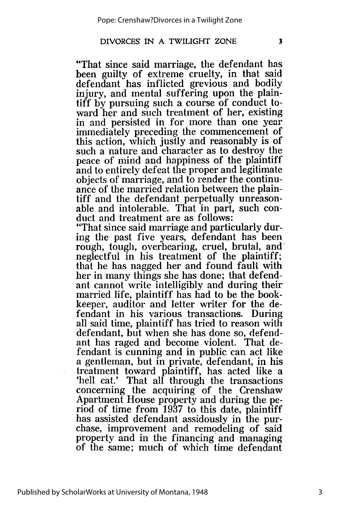$\overline{\mathbf{3}}$ 

"That since said marriage, the defendant has been guilty of extreme cruelty, in that said defendant has inflicted grevious and bodily injury, and mental suffering upon the plaintiff by pursuing such a course of conduct toward her and such treatment of her, existing in and persisted in for more than one year immediately preceding the commencement of this action, which justly and reasonably is of such a nature and character as to destroy the peace of mind and happiness of the plaintiff and to entirely defeat the proper and legitimate objects of marriage, and to render the continuance of the married relation between the plaintiff and the defendant perpetually unreasonable and intolerable. That in part, such conduct and treatment are as follows:

"That since said marriage and particularly during the past five years, defendant has been rough, tough, overbearing, cruel, brutal, and' neglectful in his treatment of the plaintiff; that he has nagged her and found fault with her in many things she has done; that defendant cannot write intelligibly and during their married life, plaintiff has had to be the bookkeeper, auditor and letter writer for the defendant in his various transactions. During all said time, plaintiff has tried to reason with defendant, but when she has done so, defendant has raged and become violent. That defendant is cunning and in public can act like a gentleman, but in private, defendant, in his treatment toward plaintiff, has acted like a 'hell cat.' That all through the transactions concerning the acquiring of the Crenshaw Apartment House property and during the period of time from 1937 to this date, plaintiff has assisted defendant assidously in the purchase, improvement and remodeling of said property and in the financing and managing of the same; much of which time defendant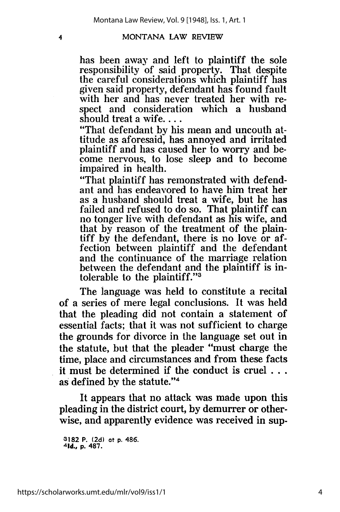4

has been away and left to plaintiff the sole responsibility of said property. That despite the careful considerations which plaintiff has given said property, defendant has found fault with her and has never treated her with respect and consideration which a husband should treat a wife....

"That defendant by his mean and uncouth attitude as aforesaid, has annoyed and irritated plaintiff and has caused her to worry and become nervous, to lose sleep and to become impaired in health.

"That plaintiff has remonstrated with defendant and has endeavored to have him treat her as a husband should treat a wife, but he has failed and refused to do so. That plaintiff can no tonger live with defendant as his wife, and that by reason of the treatment of the plaintiff by the defendant, there is no love or affection between plaintiff and the defendant and the continuance of the marriage relation between the defendant and the plaintiff is intolerable to the plaintiff."<sup>3</sup>

The language was held to constitute a recital of a series of mere legal conclusions. It was held that the pleading did not contain a statement of essential facts; that it was not sufficient to charge the grounds for divorce in the language set out in the statute, but that the pleader "must charge the time, place and circumstances and from these facts it must be determined if the conduct is cruel **...** as defined by the statute."4

It appears that no attack was made upon this pleading in the district court, by demurrer or otherwise, and apparently evidence was received in sup-

**<sup>3182</sup>**P. **(2d)** at **p.** 486. **<sup>4</sup> 1d., p. 487.**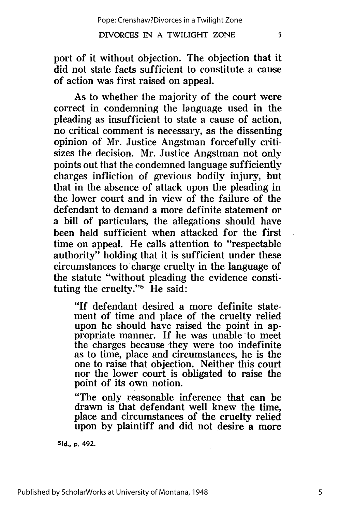port of it without objection. The objection that it did not state facts sufficient to constitute a cause of action was first raised on appeal.

As to whether the majority of the court were correct in condemning the language used in the pleading as insufficient to state a cause of action, no critical comment is necessary, as the dissenting opinion of Mr. Justice Angstinan forcefully critisizes the decision. Mr. Justice Angstman not only points out that the condemned language sufficiently charges infliction of grevious bodily injury, but that in the absence of attack upon the pleading in the lower court and in view of the failure of the defendant to demand a more definite statement or a bill of particulars, the allegations should have been held sufficient when attacked for the first time on appeal. He calls attention to "respectable authority" holding that it is sufficient under these circumstances to charge cruelty in the language of the statute "without pleading the evidence constituting the cruelty." $\overline{5}$  He said:

"If defendant desired a more definite statement of time and place of the cruelty relied upon he should have raised the point in ap-<br>propriate manner. If he was unable to meet propriate manner. If he was unable to meet<br>the charges because they were too indefinite as to time, place and circumstances, he is the one to raise that objection. Neither this court nor the lower court is obligated to raise the point of its own notion.

"The only reasonable inference that can be drawn is that defendant well knew the time, place and circumstances of the cruelty relied upon by plaintiff and did not desire a more

**51d., p.** 492.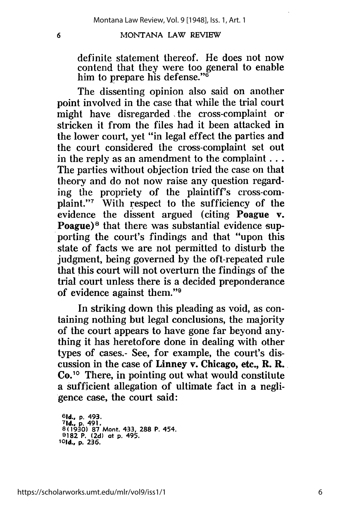definite statement thereof. He does not now contend that they were too general to enable him to prepare his defense. **"6**

The dissenting opinion also said on another point involved in the case that while the trial court might have disregarded the cross-complaint or stricken it from the files had it been attacked in the lower court, yet "in legal effect the parties and the court considered the cross-complaint set out in the reply as an amendment to the complaint  $\dots$ The parties without objection tried the case on that theory and do not now raise any question regarding the propriety of the plaintiff's cross-complaint."7 With respect to the sufficiency of the evidence the dissent argued (citing Poague v. Poague) $\delta$  that there was substantial evidence supporting the court's findings and that "upon this state of facts we are not permitted to disturb the judgment, being governed by the oft-repeated rule that this court will not overturn the findings of the trial court unless there is a decided preponderance of evidence against them."

In striking down this pleading as void, as containing nothing but legal conclusions, the majority of the court appears to have gone far beyond anything it has heretofore done in dealing with other types of cases.- See, for example, the court's discussion in the case of Linney v. Chicago, etc., R. R. **Co. <sup>10</sup>**There, in pointing out what would constitute a sufficient allegation of ultimate fact in a negligence case, the court said:

**<sup>6</sup> 1d., p. 493. 71d., p. 491. 8(1930) 87 Mont. 433, 288 P. 454. 9182 P. (2d) at p. 495.** *1Old.,* **p. 236.**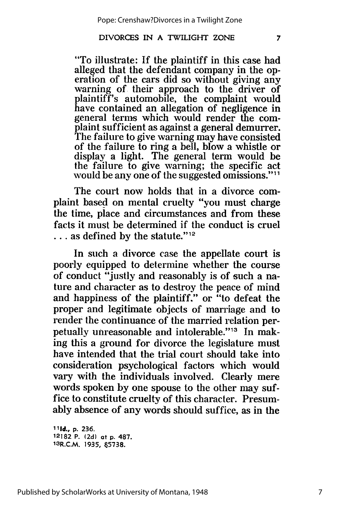"To illustrate: If the plaintiff in this case had eration of the cars did so without giving any warning of their approach to the driver of plaintiff's automobile, the complaint would have contained an allegation of negligence in general terms which would render the complaint sufficient as against a general demurrer. The failure to give warning may have consisted of the failure to ring a bell, blow a whistle or display a light. The general term would be the failure to give warning; the specific act would be any one of the suggested omissions."<sup>11</sup>

The court now holds that in a divorce complaint based on mental cruelty "you must charge the time, place and circumstances and from these facts it must be determined if the conduct is cruel **...** as defined by the statute."12

In such a divorce case the appellate court is poorly equipped to determine whether the course of conduct "justly and reasonably is of such a nature and character as to destroy the peace of mind and happiness of the plaintiff." or "to defeat the proper and legitimate objects of marriage and to render the continuance of the married relation perpetually unreasonable and intolerable."13 In making this a ground for divorce the legislature must have intended that the trial court should take into consideration psychological factors which would vary with the individuals involved. Clearly mere words spoken by one spouse to the other may suffice to constitute cruelty of this character. Presumably absence of any words should suffice, as in the

**111d., p. 236. 12182** P. **(2d)** at **p. 487.** 13R.C.M. **1935, 65738.**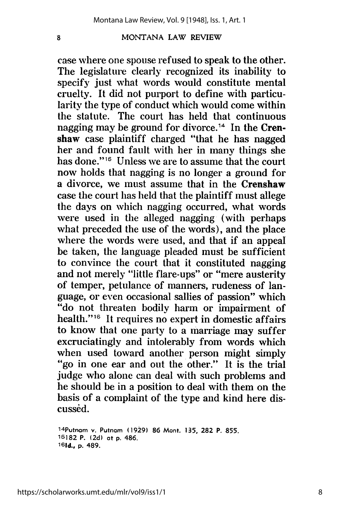$\overline{\mathbf{8}}$ 

case where one spouse refused to speak to the other. The legislature clearly recognized its inability to specify just what words would constitute mental cruelty. It did not purport to define with particularity the type of conduct which would come within the statute. The court has held that continuous nagging may be ground for divorce.<sup>14</sup> In the Crenshaw case plaintiff charged "that he has nagged her and found fault with her in many things she has done."<sup>15</sup> Unless we are to assume that the court now holds that nagging is no longer a ground for a divorce, we must assume that in the Crenshaw case the court has held that the plaintiff must allege the days on which nagging occurred, what words were used in the alleged nagging (with perhaps what preceded the use of the words), and the place where the words were used, and that if an appeal be taken, the language pleaded must be sufficient to convince the court that it constituted nagging and not merely "little flare-ups" or "mere austerity of temper, petulance of manners, rudeness of language, or even occasional sallies of passion" which "do not threaten bodily harm or impairment of health."<sup>16</sup> It requires no expert in domestic affairs to know that one party to a marriage may suffer excruciatingly and intolerably from words which<br>when used toward another person might simply "go in one ear and out the other." It is the trial judge who alone can deal with such problems and he should be in a position to deal with them on the basis of a complaint of the type and kind here discussed.

14putnam v. Putnam **(1929) 86** Mont. **135, 282** P. **855. 15182** P. (2d) at **p.** 486. **161d., p.** 489.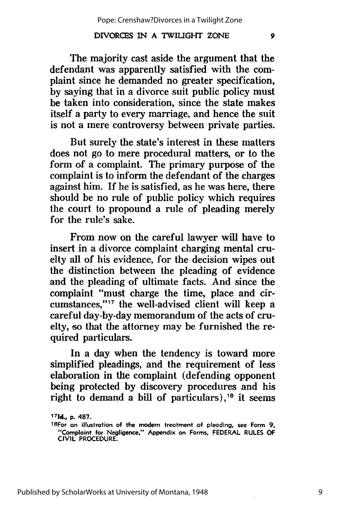The majority cast aside the argument that the defendant was apparently satisfied with the complaint since he demanded no greater specification, **by** saying that in a divorce suit public policy must be taken into consideration, since the state makes itself a party to every marriage, and hence the suit is not a mere controversy between private parties.

But surely the state's interest in these matters does not go to mere procedural matters, or to the form **of** a complaint. The primary purpose of the complaint is to inform the defendant of the charges against him. If he is satisfied, as he was here, there should be no rule of public policy which requires the court to propound a rule of pleading merely for the rule's sake.

From now on the careful lawyer will have to insert in a divorce complaint charging mental cruelty all of his evidence, for the decision wipes out the distinction between the pleading of evidence and the pleading of ultimate facts. And since the complaint "must charge the time, place and circumstances,"<sup>17</sup> the well-advised client will keep a careful day-by-day memorandum of the acts of cruelty, so that the attorney may be furnished the required particulars.

In a day when the tendency is toward more simplified pleadings, and the requirement of less elaboration in the complaint (defending opponent being protected **by** discovery procedures and his right to demand a bill of particulars),<sup>18</sup> it seems

**<sup>17</sup> 1d., p. 487.**

<sup>1</sup> <sup>8</sup> For **on** illustration of the modem treatment **.of** pleading, see Form **9,** "Complaint for Negligence," Appendix on Forms, **FEDERAL RULES** OF CIVIL PROCEDURE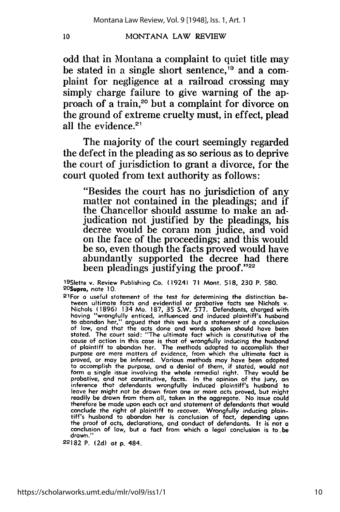odd that in Montana a complaint to quiet title may be stated in a single short sentence,<sup>19</sup> and a complaint for negligence at a railroad crossing may simply charge failure to give warning of the approach of a train,<sup>20</sup> but a complaint for divorce on the ground of extreme cruelty must, in effect, plead all the evidence. $21$ 

The majority of the court seemingly regarded the defect in the pleading as so serious as to deprive the court of jurisdiction to grant a divorce, for the court quoted from text authority as follows:

"Besides the court has no jurisdiction of any matter not contained in the pleadings; and if the Chancellor should assume to make an adjudication not justified **by** the pleadings, his decree would be coram non judice, and void on the face of the proceedings; and this would be so, even though the facts proved would have abundantly supported the decree had there been pleadings justifying the proof." $22$ 

a <sup>9</sup> Slette v. Review Publishing Co. (1924) **71** Mont. **518, 230** P. **580.** 20**Supra,** note 10.<br>21For a useful statement of the test for determining the distinction be-

tween ultimate facts and evidential or probative facts see Nichols v. Nichols **(1896)** 134 Mo. **187,** 35 S.W. **577.** Defendants, charged with having "wrongfully enticed, influenced and induced plaintiff's husband to abandon her," argued that this was but **a** statement of **a** conclusion of law, and that the acts done **and** words spoken should have been stated. The court said: "The ultimate fact which is constitutive of the cause of action in this case is that of wrongfully inducing the husband of plaintiff to abandon her. The methods adopted to accomplish that purpose are mere matters of evidence, from which the ultimate fact is<br>proved, or may be inferred. Various methods may have been adopted<br>to accomplish the purpose, and a denial of them, if stated, would not<br>form a single is probative, and not constitutive, facts. In the opinion of the jury, **an** inference that defendants wrongfully induced plaintiff's husband to leave her might not be drawn from one or more acts proved, but might readily be drawn from them **all,** taken in the aggregate. No issue could readily be drawn from them all, taken in the aggregate. No issue could therefore be made upon each act and statement of defendants that would conclude the right of plaintiff to recover. Wrongfully inducing plaintiff's husband to abandon her is conclusion of fact, depending upon the proof of acts, declarations, and conduct of defendants. It is not a conclusion of drawn."

**22182** P. **(2d)** at p. 484.

10

https://scholarworks.umt.edu/mlr/vol9/iss1/1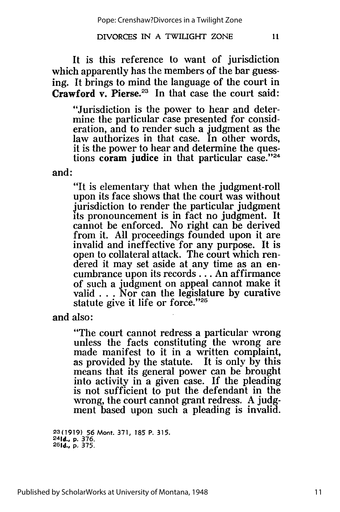It is this reference to want of jurisdiction which apparently has the members of the bar guessing. It brings to mind the language of the court in **Crawford v. Pierse.**<sup>23</sup> In that case the court said:

"Jurisdiction is the power to hear and determine the particular case presented for consideration, and to render such a judgment as the law authorizes in that case. In other words, it is the power to hear and determine the questions coram judice in that particular case."<sup>24</sup>

and:

"It is elementary that when the judgment-roll upon its face shows that the court was without jurisdiction to render the particular judgment its pronouncement is in fact no judgment. It cannot be enforced. No right can be derived from it. All proceedings founded upon it are invalid and ineffective for any purpose. It is open to collateral attack. The court which rendered it may set aside at any time as an encumbrance upon its records... An affirmance of such a judgment on appeal cannot make it valid  $\ldots$ . Nor can the legislature by curative statute give it life or force."25

and also:

"The court cannot redress a particular wrong unless the facts constituting the wrong are made manifest to it in a written complaint, as provided by the statute. It is only by this means that its general power can be brought into activity in a given case. If the pleading is not sufficient to put the defendant in the wrong, the court cannot grant redress. A judgment based upon such a pleading is invalid.

**23(1919)** 56 Mont. **371, 185** P. **315. 2 4 1d., p. 376. <sup>2</sup> 51d.,** p. 375.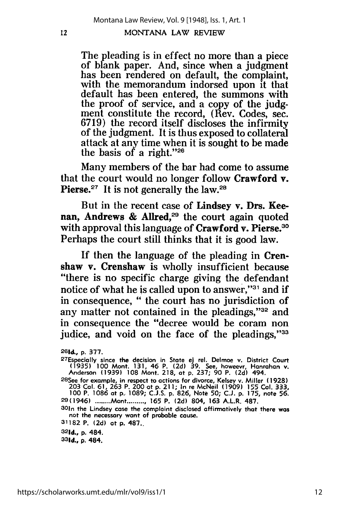The pleading is in effect no more than a piece of blank paper. And, since when a judgment has been rendered on default, the complaint, with the memorandum indorsed upon it that default has been entered, the summons with the proof of service, and a copy of the judgment constitute the record, (Rev. Codes, sec. 6719) the record itself discloses the infirmity of the judgment. It is thus exposed to collateral attack at any time when it is sought to be made the basis of a right."26

Many members of the bar had come to assume that the court would no longer follow Crawford v. Pierse. $27$  It is not generally the law. $28$ 

But in the recent case of Lindsey v. Drs. Keenan, Andrews & Allred,<sup>29</sup> the court again quoted with approval this language of Crawford v. Pierse.<sup>30</sup> Perhaps the court still thinks that it is good law.

If then the language of the pleading in Crenshaw v. Crenshaw is wholly insufficient because "there is no specific charge giving the defendant notice of what he is called upon to answer,"<sup>31</sup> and if in consequence, " the court has no jurisdiction of any matter not contained in the pleadings," $32$  and in consequence the "decree would be coram non judice, and void on the face of the pleadings,"33

301n the Lindsey case the complaint disclosed affirmatively that there was not the necessary want of probable cause.

**<sup>261</sup>d., p. 377.** <sup>2</sup> 7Especially since the decision in State **ej** tel. Delmoe v. District Court (1935) 100 Mont. 131, 46 P. (2d) 39. See, howeevr, Hanrahan v.<br>Anderson (1939) 108 Mont. 218, at p. 237; 90 P. (2d) 494.<br><sup>28</sup>See for example, in respect to actions for divorce, Kelsey v. Miller (1928)

**<sup>203</sup>**Col. **61, 263** P. 200 at **p. 211;** In re McNeil **(1909)** 155 **Col. 333, <sup>100</sup>**P. **1086** at **p. 1089; C.J.S. p. 826,** Note **50; C.J. p. 175,** note **56.** 29(1946) **........** Mont **.......... 165** P. **(2d)** 804, **163** A.L.R. **487.**

**<sup>31182</sup>** P. **(2d)** at **p. 487..**

**<sup>32</sup> 1d., p. 484.**

<sup>33</sup> 1d., **p.** 484.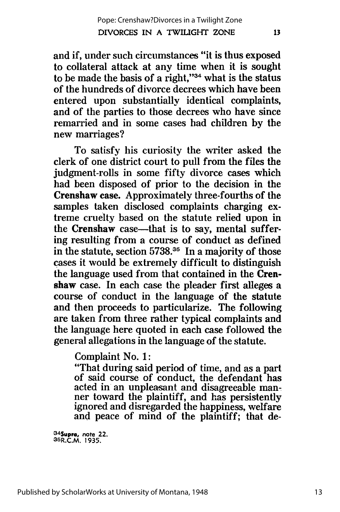and if, under such circumstances "it is thus exposed to collateral attack at any time when it is sought to be made the basis of a right," $34$  what is the status of the hundreds of divorce decrees which have been entered upon substantially identical complaints, and of the parties to those decrees who have since remarried and in some cases had children **by** the new marriages?

To satisfy his curiosity the writer asked the clerk of one district court to pull from the files the judgment-rolls in some fifty divorce cases which had been disposed of prior to the decision in the Crenshaw case. Approximately three-fourths of the samples taken disclosed complaints charging extreme cruelty based on the statute relied upon in the Crenshaw case-that is to say, mental suffering resulting from a course of conduct as defined in the statute, section **5738.<sup>35</sup>**In a majority of those cases it would be extremely difficult to distinguish the language used from that contained in the Crenshaw case. In each case the pleader first alleges a course of conduct in the language of the statute and then proceeds to particularize. The following are taken from three rather typical complaints and the language here quoted in each case followed the general allegations in the language of the statute.

Complaint No. **1:**

"That during said period of time, and as a part of said course of conduct, the defendant has acted in an unpleasant and disagreeable manner toward the plaintiff, and has persistently ignored and disregarded the happiness, welfare and peace of mind of the plaintiff; that de-

**3 4 Supra, note 22.** 35R.C.M. **1935.**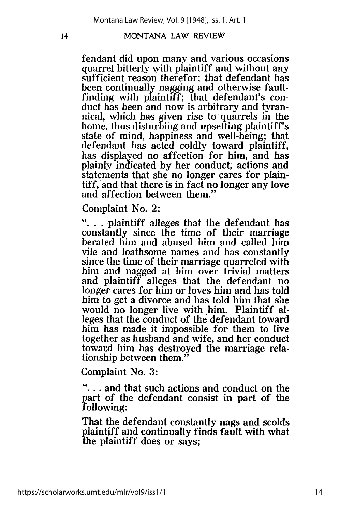fendant did upon many and various occasions quarrel bitterly with plaintiff and without any sufficient reason therefor; that defendant has been continually nagging and otherwise faultfinding with plaintiff; that defendant's connical, which has given rise to quarrels in the home, thus disturbing and upsetting plaintiff's state of mind, happiness and well-being; that defendant has acted coldly toward plaintiff, has displayed no affection for him, and has plainly indicated by her conduct, actions and statements that she no longer cares for plaintiff, and that there is in fact no longer any love and affection between them."

Complaint No. 2:

"... plaintiff alleges that the defendant has constantly since the time of their marriage berated him and abused him and called him<br>vile and loathsome names and has constantly since the time of their marriage quarreled with him and nagged at him over trivial matters and plaintiff alleges that the'defendant no longer cares for him or loves him and has told him to get a divorce and has told him that she would no longer live with him. Plaintiff alleges that the conduct of the defendant toward him has made it impossible for them to live together as husband and wife, and her conduct toward him has destroyed the marriage relationship between them."

Complaint No. 3:

**"...** and that such actions and conduct on the part of the defendant consist in part of the following:

That the defendant constantly nags and scolds plaintiff and continually finds fault with what the plaintiff does or says;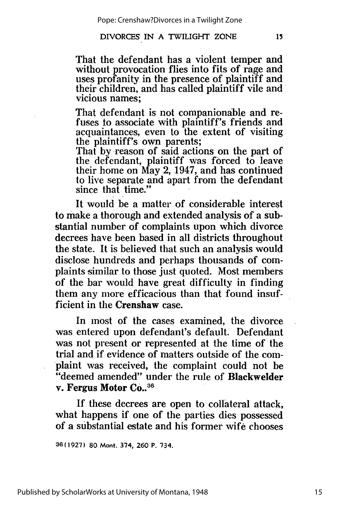That the defendant has a violent temper and without provocation flies into fits of rage and uses profanity in the presence of plaintiff and their children, and has called plaintiff vile and vicious names;

That defendant is not companionable and refuses to associate with plaintiff's friends and acquaintances, even to the extent of visiting the plaintiff's own parents;

That by reason of said actions on the part of the defendant, plaintiff was forced to leave their home on May 2, 1947, and has continued to live separate and apart from the defendant since that time."

It would be a matter of considerable interest to make a thorough and extended analysis of a substantial number of complaints upon which divorce decrees have been based in all districts throughout the state. It is believed that such an analysis would disclose hundreds and perhaps thousands of complaints similar to those just quoted. Most members of the bar would have great difficulty in finding them any more efficacious than that found insufficient in the Crenshaw case.

In most of the cases examined, the divorce was entered upon defendant's default. Defendant was not present or represented at the time of the trial and if evidence of matters outside of the complaint was received, the complaint could not be "deemed amended" under the rule of Blackwelder v. Fergus Motor **Co..<sup>36</sup>**

**If** these decrees are open to collateral attack, what happens if one of the parties dies possessed of a substantial estate and his former wife chooses

36(1927) **80** Mont. 374, **260** P. 734.